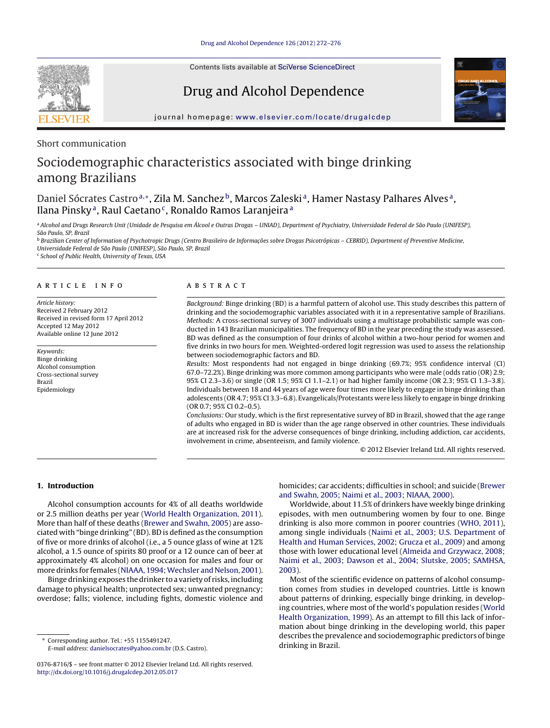Contents lists available at SciVerse [ScienceDirect](http://www.sciencedirect.com/science/journal/03768716)

## Drug and Alcohol Dependence



iournal homepage: [www.elsevier.com/locate/drugalcdep](http://www.elsevier.com/locate/drugalcdep)

Short communication

# Sociodemographic characteristics associated with binge drinking among Brazilians

## Daniel Sócrates Castro<sup>a,</sup>\*, Zila M. Sanchez<sup>b</sup>, Marcos Zaleski<sup>a</sup>, Hamer Nastasy Palhares Alves<sup>a</sup>, Ilana Pinsky<sup>a</sup>, Raul Caetano<sup>c</sup>, Ronaldo Ramos Laranjeira<sup>a</sup>

a Alcohol and Drugs Research Unit (Unidade de Pesquisa em Álcool e Outras Drogas - UNIAD), Department of Psychiatry, Universidade Federal de São Paulo (UNIFESP), São Paulo, SP, Brazil

<sup>b</sup> Brazilian Center of Information of Psychotropic Drugs (Centro Brasileiro de Informações sobre Drogas Psicotrópicas – CEBRID), Department of Preventive Medicine, Universidade Federal de São Paulo (UNIFESP), São Paulo, SP, Brazil

<sup>c</sup> School of Public Health, University of Texas, USA

## a r t i c l e i n f o

Article history: Received 2 February 2012 Received in revised form 17 April 2012 Accepted 12 May 2012 Available online 12 June 2012

Keywords: Binge drinking Alcohol consumption Cross-sectional survey Brazil Epidemiology

## A B S T R A C T

Background: Binge drinking (BD) is a harmful pattern of alcohol use. This study describes this pattern of drinking and the sociodemographic variables associated with it in a representative sample of Brazilians. Methods: A cross-sectional survey of 3007 individuals using a multistage probabilistic sample was conducted in 143 Brazilian municipalities. The frequency of BD in the year preceding the study was assessed. BD was defined as the consumption of four drinks of alcohol within a two-hour period for women and five drinks in two hours for men. Weighted-ordered logit regression was used to assess the relationship between sociodemographic factors and BD.

Results: Most respondents had not engaged in binge drinking (69.7%; 95% confidence interval (CI) 67.0–72.2%). Binge drinking was more common among participants who were male (odds ratio (OR) 2.9; 95% CI 2.3–3.6) or single (OR 1.5; 95% CI 1.1–2.1) or had higher family income (OR 2.3; 95% CI 1.3–3.8). Individuals between 18 and 44 years of age were four times more likely to engage in binge drinking than adolescents (OR 4.7; 95% CI 3.3–6.8). Evangelicals/Protestants were less likely to engage in binge drinking (OR 0.7; 95% CI 0.2–0.5).

Conclusions: Our study, which is the first representative survey of BD in Brazil, showed that the age range of adults who engaged in BD is wider than the age range observed in other countries. These individuals are at increased risk for the adverse consequences of binge drinking, including addiction, car accidents, involvement in crime, absenteeism, and family violence.

© 2012 Elsevier Ireland Ltd. All rights reserved.

## **1. Introduction**

Alcohol consumption accounts for 4% of all deaths worldwide or 2.5 million deaths per year ([World](#page-4-0) [Health](#page-4-0) [Organization,](#page-4-0) [2011\).](#page-4-0) More than half of these deaths ([Brewer](#page-4-0) [and](#page-4-0) [Swahn,](#page-4-0) [2005\)](#page-4-0) are associated with "binge drinking" (BD). BD is defined as the consumption of five or more drinks of alcohol (i.e., a 5 ounce glass of wine at 12% alcohol, a 1.5 ounce of spirits 80 proof or a 12 ounce can of beer at approximately 4% alcohol) on one occasion for males and four or more drinks for females ([NIAAA,](#page-4-0) 1994; Wechsler [and](#page-4-0) [Nelson,](#page-4-0) [2001\).](#page-4-0)

Binge drinking exposes the drinker to a variety of risks, including damage to physical health; unprotected sex; unwanted pregnancy; overdose; falls; violence, including fights, domestic violence and

∗ Corresponding author. Tel.: +55 1155491247. E-mail address: [danielsocrates@yahoo.com.br](mailto:danielsocrates@yahoo.com.br) (D.S. Castro). homicides; car accidents; difficulties in school; and suicide [\(Brewer](#page-4-0) [and](#page-4-0) [Swahn,](#page-4-0) [2005;](#page-4-0) [Naimi](#page-4-0) et [al.,](#page-4-0) [2003;](#page-4-0) [NIAAA,](#page-4-0) [2000\).](#page-4-0)

Worldwide, about 11.5% of drinkers have weekly binge drinking episodes, with men outnumbering women by four to one. Binge drinking is also more common in poorer countries [\(WHO,](#page-4-0) [2011\),](#page-4-0) among single individuals [\(Naimi](#page-4-0) et [al.,](#page-4-0) [2003;](#page-4-0) [U.S.](#page-4-0) [Department](#page-4-0) [of](#page-4-0) [Health](#page-4-0) [and](#page-4-0) [Human](#page-4-0) [Services,](#page-4-0) [2002;](#page-4-0) [Grucza](#page-4-0) et [al.,](#page-4-0) [2009\)](#page-4-0) and among those with lower educational level ([Almeida](#page-4-0) [and](#page-4-0) [Grzywacz,](#page-4-0) [2008;](#page-4-0) [Naimi](#page-4-0) et [al.,](#page-4-0) [2003;](#page-4-0) [Dawson](#page-4-0) et [al.,](#page-4-0) [2004;](#page-4-0) [Slutske,](#page-4-0) [2005;](#page-4-0) [SAMHSA,](#page-4-0) [2003\).](#page-4-0)

Most of the scientific evidence on patterns of alcohol consumption comes from studies in developed countries. Little is known about patterns of drinking, especially binge drinking, in developing countries, where most of the world's population resides ([World](#page-4-0) [Health](#page-4-0) [Organization,](#page-4-0) [1999\).](#page-4-0) As an attempt to fill this lack of information about binge drinking in the developing world, this paper describes the prevalence and sociodemographic predictors of binge drinking in Brazil.



<sup>0376-8716/\$</sup> – see front matter © 2012 Elsevier Ireland Ltd. All rights reserved. [http://dx.doi.org/10.1016/j.drugalcdep.2012.05.017](dx.doi.org/10.1016/j.drugalcdep.2012.05.017)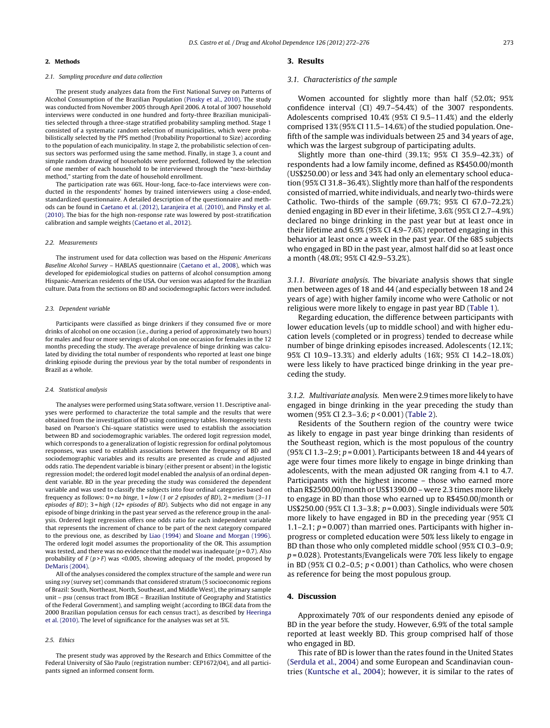#### **2. Methods**

## 2.1. Sampling procedure and data collection

The present study analyzes data from the First National Survey on Patterns of Alcohol Consumption of the Brazilian Population [\(Pinsky](#page-4-0) et [al.,](#page-4-0) [2010\).](#page-4-0) The study was conducted from November 2005 through April 2006. A total of 3007 household interviews were conducted in one hundred and forty-three Brazilian municipalities selected through a three-stage stratified probability sampling method. Stage 1 consisted of a systematic random selection of municipalities, which were probabilistically selected by the PPS method (Probability Proportional to Size) according to the population of each municipality. In stage 2, the probabilistic selection of census sectors was performed using the same method. Finally, in stage 3, a count and simple random drawing of households were performed, followed by the selection of one member of each household to be interviewed through the "next-birthday method," starting from the date of household enrollment.

The participation rate was 66%. Hour-long, face-to-face interviews were conducted in the respondents' homes by trained interviewers using a close-ended, standardized questionnaire. A detailed description of the questionnaire and methods can be found in [Caetano](#page-4-0) et [al.](#page-4-0) [\(2012\),](#page-4-0) [Laranjeira](#page-4-0) et [al.](#page-4-0) [\(2010\),](#page-4-0) and [Pinsky](#page-4-0) et [al.](#page-4-0) [\(2010\).](#page-4-0) The bias for the high non-response rate was lowered by post-stratification calibration and sample weights [\(Caetano](#page-4-0) et [al.,](#page-4-0) [2012\).](#page-4-0)

#### 2.2. Measurements

The instrument used for data collection was based on the Hispanic Americans Baseline Alcohol Survey – HABLAS questionnaire [\(Caetano](#page-4-0) et [al.,](#page-4-0) [2008\),](#page-4-0) which was developed for epidemiological studies on patterns of alcohol consumption among Hispanic-American residents of the USA. Our version was adapted for the Brazilian culture. Data from the sections on BD and sociodemographic factors were included.

#### 2.3. Dependent variable

Participants were classified as binge drinkers if they consumed five or more drinks of alcohol on one occasion (i.e., during a period of approximately two hours) for males and four or more servings of alcohol on one occasion for females in the 12 months preceding the study. The average prevalence of binge drinking was calculated by dividing the total number of respondents who reported at least one binge drinking episode during the previous year by the total number of respondents in Brazil as a whole.

#### 2.4. Statistical analysis

The analyses were performed using Stata software, version 11. Descriptive analyses were performed to characterize the total sample and the results that were obtained from the investigation of BD using contingency tables. Homogeneity tests based on Pearson's Chi-square statistics were used to establish the association between BD and sociodemographic variables. The ordered logit regression model, which corresponds to a generalization of logistic regression for ordinal polytomous responses, was used to establish associations between the frequency of BD and sociodemographic variables and its results are presented as crude and adjusted odds ratio. The dependent variable is binary (either present or absent) in the logistic regression model; the ordered logit model enabled the analysis of an ordinal dependent variable. BD in the year preceding the study was considered the dependent variable and was used to classify the subjects into four ordinal categories based on frequency as follows:  $0 = no$  binge,  $1 = low$  (1 or 2 episodes of BD),  $2 = medium(3-11)$ episodes of BD); 3 = high (12+ episodes of BD). Subjects who did not engage in any episode of binge drinking in the past year served as the reference group in the analysis. Ordered logit regression offers one odds ratio for each independent variable that represents the increment of chance to be part of the next category compared to the previous one, as described by [Liao](#page-4-0) [\(1994\)](#page-4-0) and [Sloane](#page-4-0) [and](#page-4-0) [Morgan](#page-4-0) [\(1996\).](#page-4-0) The ordered logit model assumes the proportionality of the OR. This assumption was tested, and there was no evidence that the model was inadequate ( $p = 0.7$ ). Also probability of  $F(p > F)$  was <0.005, showing adequacy of the model, proposed by [DeMaris](#page-4-0) [\(2004\).](#page-4-0)

All of the analyses considered the complex structure of the sample and were run using svy (survey set) commands that considered stratum (5 socioeconomic regions of Brazil: South, Northeast, North, Southeast, and Middle West), the primary sample unit – psu (census tract from IBGE – Brazilian Institute of Geography and Statistics of the Federal Government), and sampling weight (according to IBGE data from the 2000 Brazilian population census for each census tract), as described by [Heeringa](#page-4-0) et [al.](#page-4-0) [\(2010\).](#page-4-0) The level of significance for the analyses was set at 5%.

#### 2.5. Ethics

The present study was approved by the Research and Ethics Committee of the Federal University of São Paulo (registration number: CEP1672/04), and all participants signed an informed consent form.

#### **3. Results**

#### 3.1. Characteristics of the sample

Women accounted for slightly more than half (52.0%; 95% confidence interval (CI) 49.7–54.4%) of the 3007 respondents. Adolescents comprised 10.4% (95% CI 9.5–11.4%) and the elderly comprised 13% (95% CI 11.5–14.6%) of the studied population. Onefifth of the sample was individuals between 25 and 34 years of age, which was the largest subgroup of participating adults.

Slightly more than one-third (39.1%; 95% CI 35.9–42.3%) of respondents had a low family income, defined as R\$450.00/month (US\$250.00) or less and 34% had only an elementary school education (95% CI 31.8–36.4%). Slightly more than half of the respondents consisted of married, white individuals, and nearly two-thirds were Catholic. Two-thirds of the sample (69.7%; 95% CI 67.0–72.2%) denied engaging in BD ever in their lifetime, 3.6% (95% CI 2.7–4.9%) declared no binge drinking in the past year but at least once in their lifetime and 6.9% (95% CI 4.9–7.6%) reported engaging in this behavior at least once a week in the past year. Of the 685 subjects who engaged in BD in the past year, almost half did so at least once a month (48.0%; 95% CI 42.9–53.2%).

3.1.1. Bivariate analysis. The bivariate analysis shows that single men between ages of 18 and 44 (and especially between 18 and 24 years of age) with higher family income who were Catholic or not religious were more likely to engage in past year BD ([Table](#page-2-0) 1).

Regarding education, the difference between participants with lower education levels (up to middle school) and with higher education levels (completed or in progress) tended to decrease while number of binge drinking episodes increased. Adolescents (12.1%; 95% CI 10.9–13.3%) and elderly adults (16%; 95% CI 14.2–18.0%) were less likely to have practiced binge drinking in the year preceding the study.

3.1.2. Multivariate analysis. Men were 2.9 times more likely to have engaged in binge drinking in the year preceding the study than women (95% CI 2.3–3.6; p < 0.001) ([Table](#page-3-0) 2).

Residents of the Southern region of the country were twice as likely to engage in past year binge drinking than residents of the Southeast region, which is the most populous of the country (95% CI 1.3–2.9;  $p = 0.001$ ). Participants between 18 and 44 years of age were four times more likely to engage in binge drinking than adolescents, with the mean adjusted OR ranging from 4.1 to 4.7. Participants with the highest income – those who earned more than R\$2500.00/month or US\$1390.00 – were 2.3 times more likely to engage in BD than those who earned up to R\$450.00/month or US\$250.00 (95% CI 1.3–3.8; p = 0.003). Single individuals were 50% more likely to have engaged in BD in the preceding year (95% CI 1.1–2.1;  $p = 0.007$ ) than married ones. Participants with higher inprogress or completed education were 50% less likely to engage in BD than those who only completed middle school (95% CI 0.3–0.9;  $p = 0.028$ ). Protestants/Evangelicals were 70% less likely to engage in BD (95% CI 0.2–0.5;  $p < 0.001$ ) than Catholics, who were chosen as reference for being the most populous group.

### **4. Discussion**

Approximately 70% of our respondents denied any episode of BD in the year before the study. However, 6.9% of the total sample reported at least weekly BD. This group comprised half of those who engaged in BD.

This rate of BD is lower than the rates found in the United States [\(Serdula](#page-4-0) et [al.,](#page-4-0) [2004\)](#page-4-0) and some European and Scandinavian countries [\(Kuntsche](#page-4-0) et [al.,](#page-4-0) [2004\);](#page-4-0) however, it is similar to the rates of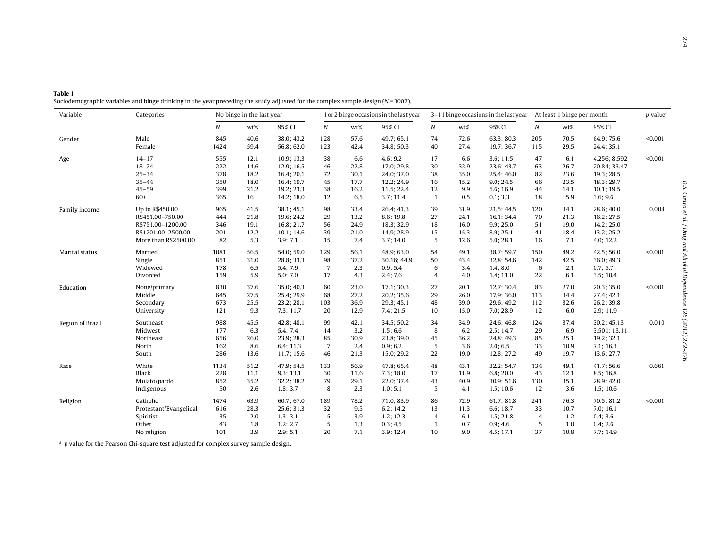<span id="page-2-0"></span>

| Table 1                                                                                                                           |  |  |
|-----------------------------------------------------------------------------------------------------------------------------------|--|--|
| Sociodemographic variables and binge drinking in the year preceding the study adjusted for the complex sample design $(N=3007)$ . |  |  |

| Variable         | Categories             | No binge in the last year |      | 1 or 2 binge occasions in the last year |                 |      | 3-11 binge occasions in the last year At least 1 binge per month |                  |      |            |                  |      | $p$ value <sup><math>a</math></sup> |         |
|------------------|------------------------|---------------------------|------|-----------------------------------------|-----------------|------|------------------------------------------------------------------|------------------|------|------------|------------------|------|-------------------------------------|---------|
|                  |                        | $\boldsymbol{N}$          | wt%  | 95% CI                                  | N               | wt%  | 95% CI                                                           | $\boldsymbol{N}$ | wt%  | 95% CI     | $\boldsymbol{N}$ | wt%  | 95% CI                              |         |
| Gender           | Male                   | 845                       | 40.6 | 38.0; 43.2                              | 128             | 57.6 | 49.7; 65.1                                                       | 74               | 72.6 | 63.3:80.3  | 205              | 70.5 | 64.9; 75.6                          | < 0.001 |
|                  | Female                 | 1424                      | 59.4 | 56.8; 62.0                              | 123             | 42.4 | 34.8; 50.3                                                       | 40               | 27.4 | 19.7; 36.7 | 115              | 29.5 | 24.4; 35.1                          |         |
| Age              | $14 - 17$              | 555                       | 12.1 | 10.9; 13.3                              | 38              | 6.6  | 4.6; 9.2                                                         | 17               | 6.6  | 3.6; 11.5  | 47               | 6.1  | 4.256; 8.592                        | < 0.001 |
|                  | $18 - 24$              | 222                       | 14.6 | 12.9; 16.5                              | 46              | 22.8 | 17.0; 29.8                                                       | 30               | 32.9 | 23.6; 43.7 | 63               | 26.7 | 20.84; 33.47                        |         |
|                  | $25 - 34$              | 378                       | 18.2 | 16.4; 20.1                              | 72              | 30.1 | 24.0; 37.0                                                       | 38               | 35.0 | 25.4; 46.0 | 82               | 23.6 | 19.3; 28.5                          |         |
|                  | $35 - 44$              | 350                       | 18.0 | 16.4; 19.7                              | 45              | 17.7 | 12.2; 24.9                                                       | 16               | 15.2 | 9.0; 24.5  | 66               | 23.5 | 18.3; 29.7                          |         |
|                  | $45 - 59$              | 399                       | 21.2 | 19.2; 23.3                              | 38              | 16.2 | 11.5; 22.4                                                       | 12               | 9.9  | 5.6; 16.9  | 44               | 14.1 | 10.1; 19.5                          |         |
|                  | $60+$                  | 365                       | 16   | 14.2; 18.0                              | 12              | 6.5  | 3.7; 11.4                                                        | $\mathbf{1}$     | 0.5  | 0.1; 3.3   | 18               | 5.9  | 3.6; 9.6                            |         |
| Family income    | Up to R\$450.00        | 965                       | 41.5 | 38.1; 45.1                              | 98              | 33.4 | 26.4; 41.3                                                       | 39               | 31.9 | 21.5; 44.5 | 120              | 34.1 | 28.6; 40.0                          | 0.008   |
|                  | R\$451.00-750.00       | 444                       | 21.8 | 19.6; 24.2                              | 29              | 13.2 | 8.6; 19.8                                                        | 27               | 24.1 | 16.1; 34.4 | 70               | 21.3 | 16.2; 27.5                          |         |
|                  | R\$751.00-1200.00      | 346                       | 19.1 | 16.8; 21.7                              | 56              | 24.9 | 18.3; 32.9                                                       | 18               | 16.0 | 9.9; 25.0  | 51               | 19.0 | 14.2; 25.0                          |         |
|                  | R\$1201.00-2500.00     | 201                       | 12.2 | 10.1; 14.6                              | 39              | 21.0 | 14.9; 28.9                                                       | 15               | 15.3 | 8.9; 25.1  | 41               | 18.4 | 13.2; 25.2                          |         |
|                  | More than R\$2500.00   | 82                        | 5.3  | 3.9; 7.1                                | 15              | 7.4  | 3.7; 14.0                                                        | 5                | 12.6 | 5.0; 28.1  | 16               | 7.1  | 4.0; 12.2                           |         |
| Marital status   | Married                | 1081                      | 56.5 | 54.0; 59.0                              | 129             | 56.1 | 48.9; 63.0                                                       | 54               | 49.1 | 38.7; 59.7 | 150              | 49.2 | 42.5; 56.0                          | < 0.001 |
|                  | Single                 | 851                       | 31.0 | 28.8; 33.3                              | 98              | 37.2 | 30.16; 44.9                                                      | 50               | 43.4 | 32.8; 54.6 | 142              | 42.5 | 36.0; 49.3                          |         |
|                  | Widowed                | 178                       | 6.5  | 5.4; 7.9                                | $\overline{7}$  | 2.3  | 0.9; 5.4                                                         | 6                | 3.4  | 1.4; 8.0   | 6                | 2.1  | 0.7; 5.7                            |         |
|                  | Divorced               | 159                       | 5.9  | 5.0; 7.0                                | 17              | 4.3  | 2.4; 7.6                                                         | $\overline{4}$   | 4.0  | 1.4; 11.0  | 22               | 6.1  | 3.5; 10.4                           |         |
| Education        | None/primary           | 830                       | 37.6 | 35.0; 40.3                              | 60              | 23.0 | 17.1; 30.3                                                       | 27               | 20.1 | 12.7; 30.4 | 83               | 27.0 | 20.3; 35.0                          | < 0.001 |
|                  | Middle                 | 645                       | 27.5 | 25.4; 29.9                              | 68              | 27.2 | 20.2; 35.6                                                       | 29               | 26.0 | 17.9; 36.0 | 113              | 34.4 | 27.4; 42.1                          |         |
|                  | Secondary              | 673                       | 25.5 | 23.2; 28.1                              | 103             | 36.9 | 29.3; 45.1                                                       | 48               | 39.0 | 29.6; 49.2 | 112              | 32.6 | 26.2; 39.8                          |         |
|                  | University             | 121                       | 9.3  | 7.3; 11.7                               | 20              | 12.9 | 7.4; 21.5                                                        | 10               | 15.0 | 7.0; 28.9  | 12               | 6.0  | 2.9; 11.9                           |         |
| Region of Brazil | Southeast              | 988                       | 45.5 | 42.8; 48.1                              | 99              | 42.1 | 34.5; 50.2                                                       | 34               | 34.9 | 24.6; 46.8 | 124              | 37.4 | 30.2; 45.13                         | 0.010   |
|                  | Midwest                | 177                       | 6.3  | 5.4; 7.4                                | 14              | 3.2  | 1.5; 6.6                                                         | 8                | 6.2  | 2.5; 14.7  | 29               | 6.9  | 3.501; 13.11                        |         |
|                  | Northeast              | 656                       | 26.0 | 23.9; 28.3                              | 85              | 30.9 | 23.8; 39.0                                                       | 45               | 36.2 | 24.8; 49.3 | 85               | 25.1 | 19.2; 32.1                          |         |
|                  | North                  | 162                       | 8.6  | 6.4; 11.3                               | $7\overline{ }$ | 2.4  | 0.9; 6.2                                                         | 5                | 3.6  | 2.0; 6.5   | 33               | 10.9 | 7.1:16.3                            |         |
|                  | South                  | 286                       | 13.6 | 11.7; 15.6                              | 46              | 21.3 | 15.0; 29.2                                                       | 22               | 19.0 | 12.8; 27.2 | 49               | 19.7 | 13.6; 27.7                          |         |
| Race             | White                  | 1134                      | 51.2 | 47.9; 54.5                              | 133             | 56.9 | 47.8; 65.4                                                       | 48               | 43.1 | 32.2; 54.7 | 134              | 49.1 | 41.7:56.6                           | 0.661   |
|                  | Black                  | 228                       | 11.1 | 9.3; 13.1                               | 30              | 11.6 | 7.3; 18.0                                                        | 17               | 11.9 | 6.8; 20.0  | 43               | 12.1 | 8.5; 16.8                           |         |
|                  | Mulato/pardo           | 852                       | 35.2 | 32.2; 38.2                              | 79              | 29.1 | 22.0; 37.4                                                       | 43               | 40.9 | 30.9; 51.6 | 130              | 35.1 | 28.9; 42.0                          |         |
|                  | Indigenous             | 50                        | 2.6  | 1.8; 3.7                                | 8               | 2.3  | 1.0; 5.1                                                         | 5                | 4.1  | 1.5; 10.6  | 12               | 3.6  | 1.5; 10.6                           |         |
| Religion         | Catholic               | 1474                      | 63.9 | 60.7; 67.0                              | 189             | 78.2 | 71.0; 83.9                                                       | 86               | 72.9 | 61.7; 81.8 | 241              | 76.3 | 70.5; 81.2                          | < 0.001 |
|                  | Protestant/Evangelical | 616                       | 28.3 | 25.6; 31.3                              | 32              | 9.5  | 6.2; 14.2                                                        | 13               | 11.3 | 6.6; 18.7  | 33               | 10.7 | 7.0; 16.1                           |         |
|                  | Spiritist              | 35                        | 2.0  | 1.3; 3.1                                | 5               | 3.9  | 1.2; 12.3                                                        | $\overline{4}$   | 6.1  | 1.5:21.8   | $\overline{4}$   | 1.2  | 0.4; 3.6                            |         |
|                  | Other                  | 43                        | 1.8  | 1.2; 2.7                                | 5               | 1.3  | 0.3; 4.5                                                         | $\mathbf{1}$     | 0.7  | 0.9; 4.6   | 5                | 1.0  | 0.4; 2.6                            |         |
|                  | No religion            | 101                       | 3.9  | 2.9; 5.1                                | 20              | 7.1  | 3.9; 12.4                                                        | 10               | 9.0  | 4.5:17.1   | 37               | 10.8 | 7.7:14.9                            |         |

 $a$  p value for the Pearson Chi-square test adjusted for complex survey sample design.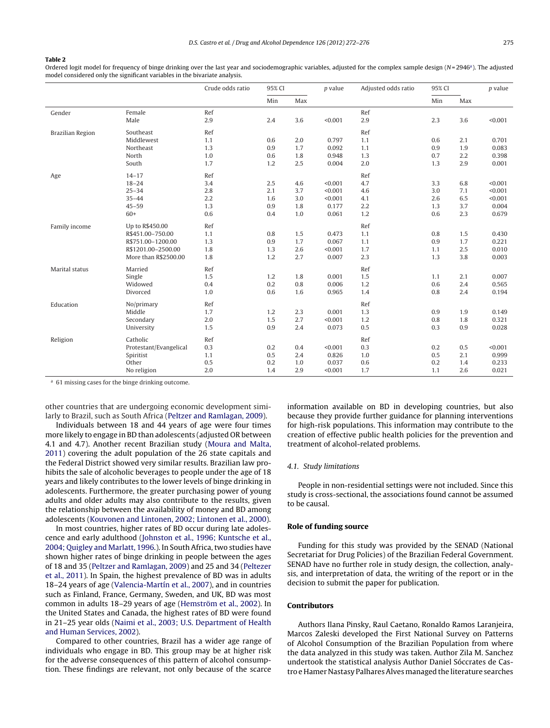#### <span id="page-3-0"></span>**Table 2**

Ordered logit model for frequency of binge drinking over the last year and sociodemographic variables, adjusted for the complex sample design  $(N=2946)$ . The adjusted model considered only the significant variables in the bivariate analysis.

|                  |                        | Crude odds ratio | 95% CI |     | p value | Adjusted odds ratio | 95% CI |     | $p$ value |
|------------------|------------------------|------------------|--------|-----|---------|---------------------|--------|-----|-----------|
|                  |                        |                  | Min    | Max |         |                     | Min    | Max |           |
| Gender           | Female                 | Ref              |        |     |         | Ref                 |        |     |           |
|                  | Male                   | 2.9              | 2.4    | 3.6 | < 0.001 | 2.9                 | 2.3    | 3.6 | < 0.001   |
| Brazilian Region | Southeast              | Ref              |        |     |         | Ref                 |        |     |           |
|                  | Middlewest             | 1.1              | 0.6    | 2.0 | 0.797   | 1.1                 | 0.6    | 2.1 | 0.701     |
|                  | Northeast              | 1.3              | 0.9    | 1.7 | 0.092   | 1.1                 | 0.9    | 1.9 | 0.083     |
|                  | North                  | 1.0              | 0.6    | 1.8 | 0.948   | 1.3                 | 0.7    | 2.2 | 0.398     |
|                  | South                  | 1.7              | 1.2    | 2.5 | 0.004   | 2.0                 | 1.3    | 2.9 | 0.001     |
| Age              | $14 - 17$              | Ref              |        |     |         | Ref                 |        |     |           |
|                  | $18 - 24$              | 3.4              | 2.5    | 4.6 | < 0.001 | 4.7                 | 3.3    | 6.8 | < 0.001   |
|                  | $25 - 34$              | 2.8              | 2.1    | 3.7 | < 0.001 | 4.6                 | 3.0    | 7.1 | < 0.001   |
|                  | $35 - 44$              | 2.2              | 1.6    | 3.0 | < 0.001 | 4.1                 | 2.6    | 6.5 | < 0.001   |
|                  | $45 - 59$              | 1.3              | 0.9    | 1.8 | 0.177   | 2.2                 | 1.3    | 3.7 | 0.004     |
|                  | $60+$                  | 0.6              | 0.4    | 1.0 | 0.061   | 1.2                 | 0.6    | 2.3 | 0.679     |
| Family income    | Up to R\$450.00        | Ref              |        |     |         | Ref                 |        |     |           |
|                  | R\$451.00-750.00       | 1.1              | 0.8    | 1.5 | 0.473   | 1.1                 | 0.8    | 1.5 | 0.430     |
|                  | R\$751.00-1200.00      | 1.3              | 0.9    | 1.7 | 0.067   | 1.1                 | 0.9    | 1.7 | 0.221     |
|                  | R\$1201.00-2500.00     | 1.8              | 1.3    | 2.6 | < 0.001 | 1.7                 | 1.1    | 2.5 | 0.010     |
|                  | More than R\$2500.00   | 1.8              | 1.2    | 2.7 | 0.007   | 2.3                 | 1.3    | 3.8 | 0.003     |
| Marital status   | Married                | Ref              |        |     |         | Ref                 |        |     |           |
|                  | Single                 | 1.5              | 1.2    | 1.8 | 0.001   | 1.5                 | 1.1    | 2.1 | 0.007     |
|                  | Widowed                | 0.4              | 0.2    | 0.8 | 0.006   | 1.2                 | 0.6    | 2.4 | 0.565     |
|                  | Divorced               | 1.0              | 0.6    | 1.6 | 0.965   | 1.4                 | 0.8    | 2.4 | 0.194     |
| Education        | No/primary             | Ref              |        |     |         | Ref                 |        |     |           |
|                  | Middle                 | 1.7              | 1.2    | 2.3 | 0.001   | 1.3                 | 0.9    | 1.9 | 0.149     |
|                  | Secondary              | 2.0              | 1.5    | 2.7 | < 0.001 | 1.2                 | 0.8    | 1.8 | 0.321     |
|                  | University             | 1.5              | 0.9    | 2.4 | 0.073   | 0.5                 | 0.3    | 0.9 | 0.028     |
| Religion         | Catholic               | Ref              |        |     |         | Ref                 |        |     |           |
|                  | Protestant/Evangelical | 0.3              | 0.2    | 0.4 | < 0.001 | 0.3                 | 0.2    | 0.5 | < 0.001   |
|                  | Spiritist              | 1.1              | 0.5    | 2.4 | 0.826   | 1.0                 | 0.5    | 2.1 | 0.999     |
|                  | Other                  | 0.5              | 0.2    | 1.0 | 0.037   | 0.6                 | 0.2    | 1.4 | 0.233     |
|                  | No religion            | 2.0              | 1.4    | 2.9 | < 0.001 | 1.7                 | 1,1    | 2.6 | 0.021     |

<sup>a</sup> 61 missing cases for the binge drinking outcome.

other countries that are undergoing economic development similarly to Brazil, such as South Africa [\(Peltzer](#page-4-0) [and](#page-4-0) [Ramlagan,](#page-4-0) [2009\).](#page-4-0)

Individuals between 18 and 44 years of age were four times more likely to engage in BD than adolescents (adjusted OR between 4.1 and 4.7). Another recent Brazilian study ([Moura](#page-4-0) [and](#page-4-0) [Malta,](#page-4-0) [2011\)](#page-4-0) covering the adult population of the 26 state capitals and the Federal District showed very similar results. Brazilian law prohibits the sale of alcoholic beverages to people under the age of 18 years and likely contributes to the lower levels of binge drinking in adolescents. Furthermore, the greater purchasing power of young adults and older adults may also contribute to the results, given the relationship between the availability of money and BD among adolescents ([Kouvonen](#page-4-0) [and](#page-4-0) [Lintonen,](#page-4-0) [2002;](#page-4-0) [Lintonen](#page-4-0) et [al.,](#page-4-0) [2000\).](#page-4-0)

In most countries, higher rates of BD occur during late adolescence and early adulthood ([Johnston](#page-4-0) et [al.,](#page-4-0) [1996;](#page-4-0) [Kuntsche](#page-4-0) et [al.,](#page-4-0) [2004;](#page-4-0) [Quigley](#page-4-0) [and](#page-4-0) [Marlatt,](#page-4-0) [1996.\)](#page-4-0). In South Africa, two studies have shown higher rates of binge drinking in people between the ages of 18 and 35 ([Peltzer](#page-4-0) [and](#page-4-0) [Ramlagan,](#page-4-0) [2009\)](#page-4-0) and 25 and 34 ([Peltezer](#page-4-0) et [al.,](#page-4-0) [2011\).](#page-4-0) In Spain, the highest prevalence of BD was in adults 18–24 years of age ([Valencia-Martín](#page-4-0) et [al.,](#page-4-0) [2007\),](#page-4-0) and in countries such as Finland, France, Germany, Sweden, and UK, BD was most common in adults 18–29 years of age ([Hemström](#page-4-0) et [al.,](#page-4-0) [2002\).](#page-4-0) In the United States and Canada, the highest rates of BD were found in 21–25 year olds [\(Naimi](#page-4-0) et [al.,](#page-4-0) [2003;](#page-4-0) [U.S.](#page-4-0) [Department](#page-4-0) [of](#page-4-0) [Health](#page-4-0) [and](#page-4-0) [Human](#page-4-0) [Services,](#page-4-0) [2002\).](#page-4-0)

Compared to other countries, Brazil has a wider age range of individuals who engage in BD. This group may be at higher risk for the adverse consequences of this pattern of alcohol consumption. These findings are relevant, not only because of the scarce

information available on BD in developing countries, but also because they provide further guidance for planning interventions for high-risk populations. This information may contribute to the creation of effective public health policies for the prevention and treatment of alcohol-related problems.

#### 4.1. Study limitations

People in non-residential settings were not included. Since this study is cross-sectional, the associations found cannot be assumed to be causal.

## **Role of funding source**

Funding for this study was provided by the SENAD (National Secretariat for Drug Policies) of the Brazilian Federal Government. SENAD have no further role in study design, the collection, analysis, and interpretation of data, the writing of the report or in the decision to submit the paper for publication.

## **Contributors**

Authors Ilana Pinsky, Raul Caetano, Ronaldo Ramos Laranjeira, Marcos Zaleski developed the First National Survey on Patterns of Alcohol Consumption of the Brazilian Population from where the data analyzed in this study was taken. Author Zila M. Sanchez undertook the statistical analysis Author Daniel Sóccrates de Castro e Hamer Nastasy Palhares Alves managed the literature searches